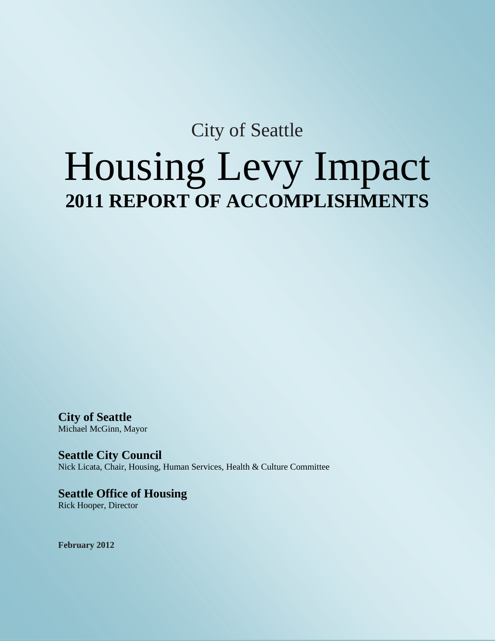## City of Seattle Housing Levy Impact **2011 REPORT OF ACCOMPLISHMENTS**

**City of Seattle** Michael McGinn, Mayor

**Seattle City Council** Nick Licata, Chair, Housing, Human Services, Health & Culture Committee

**Seattle Office of Housing** Rick Hooper, Director

**February 2012**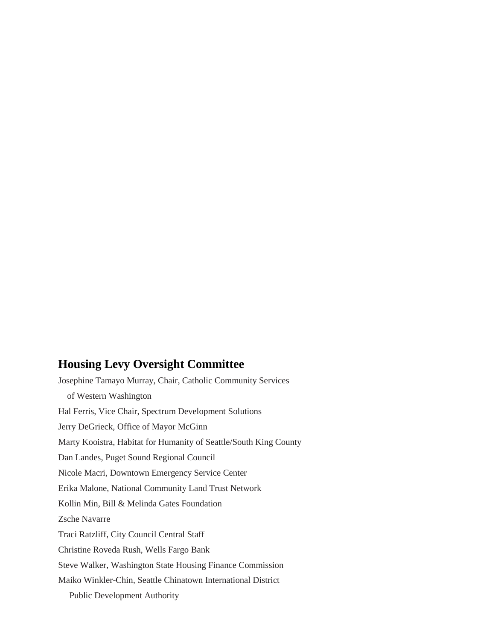### **Housing Levy Oversight Committee**

Josephine Tamayo Murray, Chair, Catholic Community Services of Western Washington Hal Ferris, Vice Chair, Spectrum Development Solutions Jerry DeGrieck, Office of Mayor McGinn Marty Kooistra, Habitat for Humanity of Seattle/South King County Dan Landes, Puget Sound Regional Council Nicole Macri, Downtown Emergency Service Center Erika Malone, National Community Land Trust Network Kollin Min, Bill & Melinda Gates Foundation Zsche Navarre Traci Ratzliff, City Council Central Staff Christine Roveda Rush, Wells Fargo Bank Steve Walker, Washington State Housing Finance Commission Maiko Winkler-Chin, Seattle Chinatown International District Public Development Authority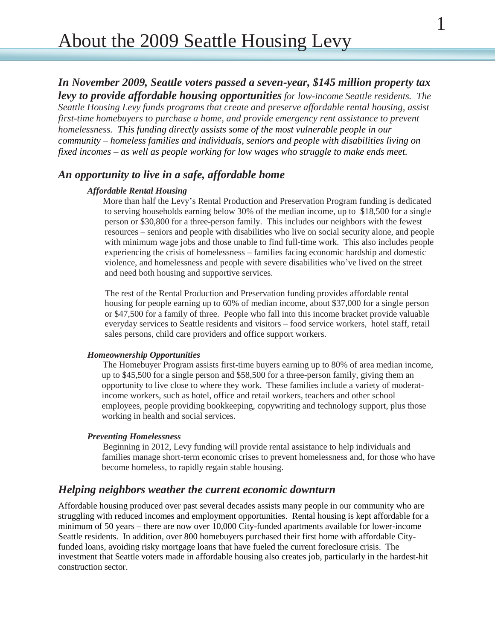*Seattle Housing Levy funds programs that create and preserve affordable rental housing, assist first-time homebuyers to purchase a home, and provide emergency rent assistance to prevent homelessness. This funding directly assists some of the most vulnerable people in our community – homeless families and individuals, seniors and people with disabilities living on fixed incomes – as well as people working for low wages who struggle to make ends meet.*

## *An opportunity to live in a safe, affordable home*

#### *Affordable Rental Housing*

 More than half the Levy's Rental Production and Preservation Program funding is dedicated to serving households earning below 30% of the median income, up to \$18,500 for a single person or \$30,800 for a three-person family. This includes our neighbors with the fewest resources – seniors and people with disabilities who live on social security alone, and people with minimum wage jobs and those unable to find full-time work. This also includes people experiencing the crisis of homelessness – families facing economic hardship and domestic violence, and homelessness and people with severe disabilities who've lived on the street and need both housing and supportive services.

 The rest of the Rental Production and Preservation funding provides affordable rental housing for people earning up to 60% of median income, about \$37,000 for a single person or \$47,500 for a family of three. People who fall into this income bracket provide valuable everyday services to Seattle residents and visitors – food service workers, hotel staff, retail sales persons, child care providers and office support workers.

#### *Homeownership Opportunities*

 The Homebuyer Program assists first-time buyers earning up to 80% of area median income, up to \$45,500 for a single person and \$58,500 for a three-person family, giving them an opportunity to live close to where they work. These families include a variety of moderatincome workers, such as hotel, office and retail workers, teachers and other school employees, people providing bookkeeping, copywriting and technology support, plus those working in health and social services.

#### *Preventing Homelessness*

 Beginning in 2012, Levy funding will provide rental assistance to help individuals and families manage short-term economic crises to prevent homelessness and, for those who have become homeless, to rapidly regain stable housing.

#### *Helping neighbors weather the current economic downturn*

Affordable housing produced over past several decades assists many people in our community who are struggling with reduced incomes and employment opportunities. Rental housing is kept affordable for a minimum of 50 years – there are now over 10,000 City-funded apartments available for lower-income Seattle residents. In addition, over 800 homebuyers purchased their first home with affordable Cityfunded loans, avoiding risky mortgage loans that have fueled the current foreclosure crisis. The investment that Seattle voters made in affordable housing also creates job, particularly in the hardest-hit construction sector.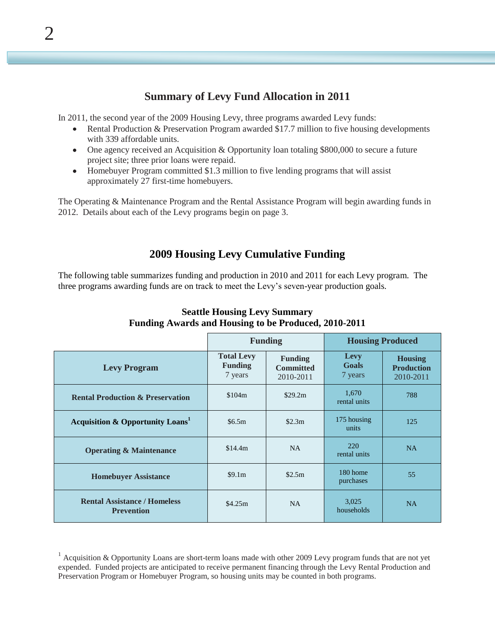## **Summary of Levy Fund Allocation in 2011**

In 2011, the second year of the 2009 Housing Levy, three programs awarded Levy funds:

- Rental Production & Preservation Program awarded \$17.7 million to five housing developments with 339 affordable units.
- One agency received an Acquisition & Opportunity loan totaling \$800,000 to secure a future project site; three prior loans were repaid.
- Homebuyer Program committed \$1.3 million to five lending programs that will assist approximately 27 first-time homebuyers.

The Operating & Maintenance Program and the Rental Assistance Program will begin awarding funds in 2012. Details about each of the Levy programs begin on page 3.

## **2009 Housing Levy Cumulative Funding**

The following table summarizes funding and production in 2010 and 2011 for each Levy program. The three programs awarding funds are on track to meet the Levy's seven-year production goals.

|                                                          | <b>Funding</b>                                 |                                                 | <b>Housing Produced</b>  |                                                  |
|----------------------------------------------------------|------------------------------------------------|-------------------------------------------------|--------------------------|--------------------------------------------------|
| <b>Levy Program</b>                                      | <b>Total Levy</b><br><b>Funding</b><br>7 years | <b>Funding</b><br><b>Committed</b><br>2010-2011 | Levy<br>Goals<br>7 years | <b>Housing</b><br><b>Production</b><br>2010-2011 |
| <b>Rental Production &amp; Preservation</b>              | \$104m                                         | \$29.2m                                         | 1,670<br>rental units    | 788                                              |
| <b>Acquisition &amp; Opportunity Loans</b>               | \$6.5m                                         | \$2.3m                                          | 175 housing<br>units     | 125                                              |
| <b>Operating &amp; Maintenance</b>                       | \$14.4m                                        | <b>NA</b>                                       | 220<br>rental units      | <b>NA</b>                                        |
| <b>Homebuyer Assistance</b>                              | \$9.1m                                         | \$2.5m                                          | 180 home<br>purchases    | 55                                               |
| <b>Rental Assistance / Homeless</b><br><b>Prevention</b> | \$4.25m                                        | NA                                              | 3,025<br>households      | <b>NA</b>                                        |

#### **Seattle Housing Levy Summary Funding Awards and Housing to be Produced, 2010-2011**

 $1$  Acquisition & Opportunity Loans are short-term loans made with other 2009 Levy program funds that are not yet expended. Funded projects are anticipated to receive permanent financing through the Levy Rental Production and Preservation Program or Homebuyer Program, so housing units may be counted in both programs.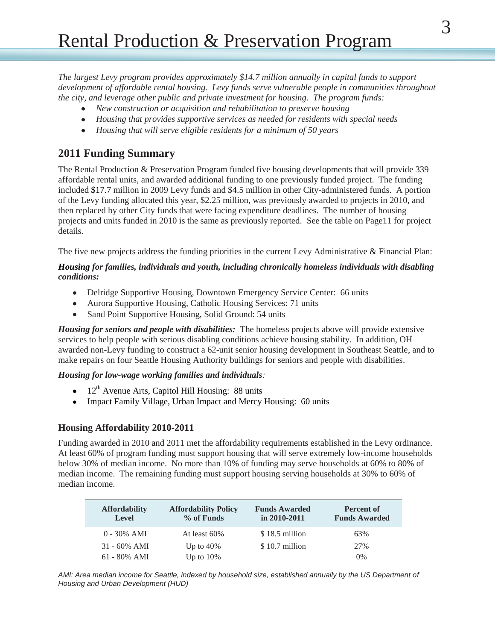*The largest Levy program provides approximately \$14.7 million annually in capital funds to support development of affordable rental housing. Levy funds serve vulnerable people in communities throughout the city, and leverage other public and private investment for housing. The program funds:*

- *New construction or acquisition and rehabilitation to preserve housing*
- *Housing that provides supportive services as needed for residents with special needs*
- *Housing that will serve eligible residents for a minimum of 50 years*  $\bullet$

## **2011 Funding Summary**

The Rental Production & Preservation Program funded five housing developments that will provide 339 affordable rental units, and awarded additional funding to one previously funded project. The funding included \$17.7 million in 2009 Levy funds and \$4.5 million in other City-administered funds. A portion of the Levy funding allocated this year, \$2.25 million, was previously awarded to projects in 2010, and then replaced by other City funds that were facing expenditure deadlines. The number of housing projects and units funded in 2010 is the same as previously reported. See the table on Page11 for project details.

The five new projects address the funding priorities in the current Levy Administrative  $\&$  Financial Plan:

#### *Housing for families, individuals and youth, including chronically homeless individuals with disabling conditions:*

- Delridge Supportive Housing, Downtown Emergency Service Center: 66 units
- Aurora Supportive Housing, Catholic Housing Services: 71 units  $\bullet$
- $\bullet$ Sand Point Supportive Housing, Solid Ground: 54 units

*Housing for seniors and people with disabilities:* The homeless projects above will provide extensive services to help people with serious disabling conditions achieve housing stability. In addition, OH awarded non-Levy funding to construct a 62-unit senior housing development in Southeast Seattle, and to make repairs on four Seattle Housing Authority buildings for seniors and people with disabilities.

#### *Housing for low-wage working families and individuals:*

- $\bullet$  12<sup>th</sup> Avenue Arts, Capitol Hill Housing: 88 units
- Impact Family Village, Urban Impact and Mercy Housing: 60 units

#### **Housing Affordability 2010-2011**

Funding awarded in 2010 and 2011 met the affordability requirements established in the Levy ordinance. At least 60% of program funding must support housing that will serve extremely low-income households below 30% of median income. No more than 10% of funding may serve households at 60% to 80% of median income. The remaining funding must support housing serving households at 30% to 60% of median income.

| <b>Affordability</b><br><b>Level</b> | <b>Affordability Policy</b><br>% of Funds | <b>Funds Awarded</b><br>in $2010 - 2011$ | Percent of<br><b>Funds Awarded</b> |
|--------------------------------------|-------------------------------------------|------------------------------------------|------------------------------------|
| $0 - 30\%$ AMI                       | At least 60%                              | \$18.5 million                           | 63%                                |
| $31 - 60\%$ AMI                      | Up to $40\%$                              | \$10.7 million                           | 27%                                |
| $61 - 80\%$ AMI                      | Up to $10\%$                              |                                          | $0\%$                              |

*AMI: Area median income for Seattle, indexed by household size, established annually by the US Department of Housing and Urban Development (HUD)*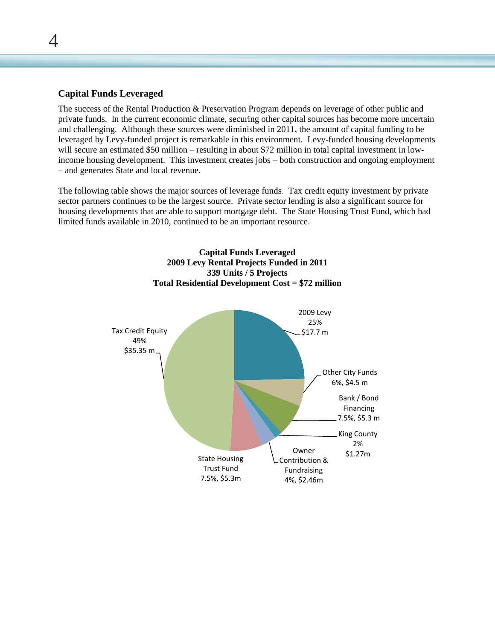#### **Capital Funds Leveraged**

 $\boldsymbol{\varDelta}$ 

The success of the Rental Production & Preservation Program depends on leverage of other public and private funds. In the current economic climate, securing other capital sources has become more uncertain and challenging. Although these sources were diminished in 2011, the amount of capital funding to be leveraged by Levy-funded project is remarkable in this environment. Levy-funded housing developments will secure an estimated \$50 million – resulting in about \$72 million in total capital investment in lowincome housing development. This investment creates jobs – both construction and ongoing employment – and generates State and local revenue.

The following table shows the major sources of leverage funds. Tax credit equity investment by private sector partners continues to be the largest source. Private sector lending is also a significant source for housing developments that are able to support mortgage debt. The State Housing Trust Fund, which had limited funds available in 2010, continued to be an important resource.

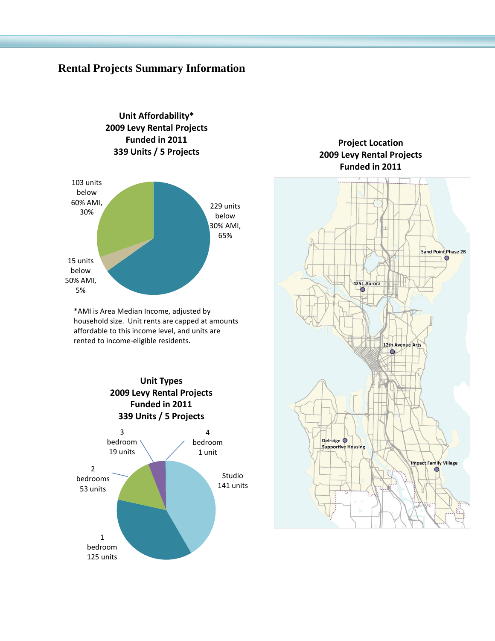## **Rental Projects Summary Information**

**Unit Affordability\***



\*AMI is Area Median Income, adjusted by household size. Unit rents are capped at amounts affordable to this income level, and units are rented to income-eligible residents.



#### **Project Location 2009 Levy Rental Projects Funded in 2011**

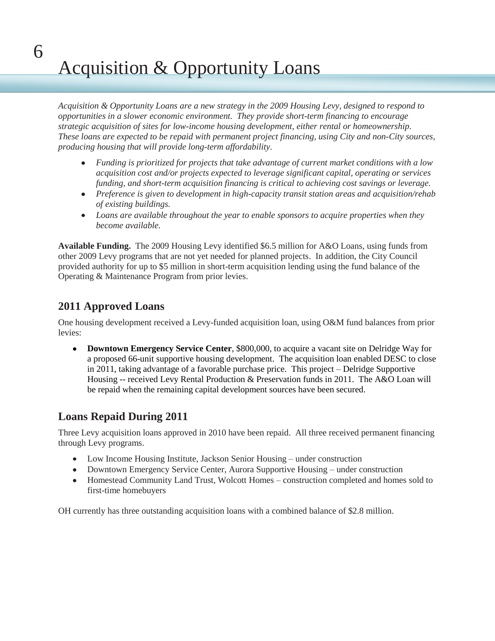# Acquisition & Opportunity Loans

*Acquisition & Opportunity Loans are a new strategy in the 2009 Housing Levy, designed to respond to opportunities in a slower economic environment. They provide short-term financing to encourage strategic acquisition of sites for low-income housing development, either rental or homeownership. These loans are expected to be repaid with permanent project financing, using City and non-City sources, producing housing that will provide long-term affordability.* 

- *Funding is prioritized for projects that take advantage of current market conditions with a low acquisition cost and/or projects expected to leverage significant capital, operating or services funding, and short-term acquisition financing is critical to achieving cost savings or leverage.*
- *Preference is given to development in high-capacity transit station areas and acquisition/rehab of existing buildings.*
- *Loans are available throughout the year to enable sponsors to acquire properties when they become available.*

**Available Funding.** The 2009 Housing Levy identified \$6.5 million for A&O Loans, using funds from other 2009 Levy programs that are not yet needed for planned projects. In addition, the City Council provided authority for up to \$5 million in short-term acquisition lending using the fund balance of the Operating & Maintenance Program from prior levies.

## **2011 Approved Loans**

6

One housing development received a Levy-funded acquisition loan, using O&M fund balances from prior levies:

**Downtown Emergency Service Center**, \$800,000, to acquire a vacant site on Delridge Way for  $\bullet$ a proposed 66-unit supportive housing development. The acquisition loan enabled DESC to close in 2011, taking advantage of a favorable purchase price. This project – Delridge Supportive Housing -- received Levy Rental Production & Preservation funds in 2011. The A&O Loan will be repaid when the remaining capital development sources have been secured.

## **Loans Repaid During 2011**

Three Levy acquisition loans approved in 2010 have been repaid. All three received permanent financing through Levy programs.

- Low Income Housing Institute, Jackson Senior Housing under construction
- Downtown Emergency Service Center, Aurora Supportive Housing under construction
- Homestead Community Land Trust, Wolcott Homes construction completed and homes sold to first-time homebuyers

OH currently has three outstanding acquisition loans with a combined balance of \$2.8 million.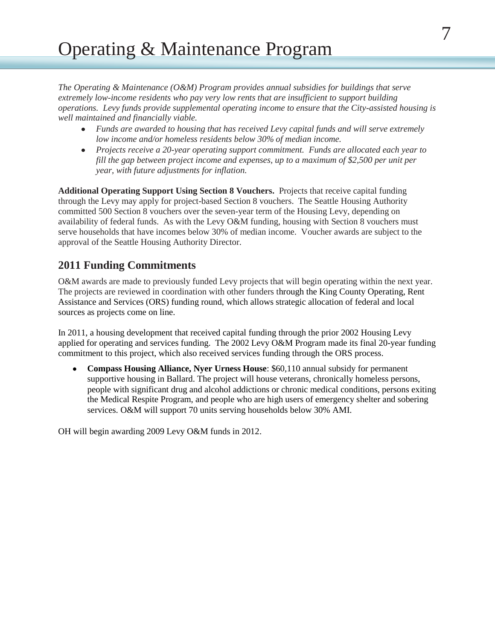*The Operating & Maintenance (O&M) Program provides annual subsidies for buildings that serve extremely low-income residents who pay very low rents that are insufficient to support building operations. Levy funds provide supplemental operating income to ensure that the City-assisted housing is well maintained and financially viable.* 

- *Funds are awarded to housing that has received Levy capital funds and will serve extremely*   $\bullet$ *low income and/or homeless residents below 30% of median income.*
- *Projects receive a 20-year operating support commitment. Funds are allocated each year to fill the gap between project income and expenses, up to a maximum of \$2,500 per unit per year, with future adjustments for inflation.*

**Additional Operating Support Using Section 8 Vouchers.** Projects that receive capital funding through the Levy may apply for project-based Section 8 vouchers. The Seattle Housing Authority committed 500 Section 8 vouchers over the seven-year term of the Housing Levy, depending on availability of federal funds. As with the Levy O&M funding, housing with Section 8 vouchers must serve households that have incomes below 30% of median income. Voucher awards are subject to the approval of the Seattle Housing Authority Director.

## **2011 Funding Commitments**

O&M awards are made to previously funded Levy projects that will begin operating within the next year. The projects are reviewed in coordination with other funders through the King County Operating, Rent Assistance and Services (ORS) funding round, which allows strategic allocation of federal and local sources as projects come on line.

In 2011, a housing development that received capital funding through the prior 2002 Housing Levy applied for operating and services funding. The 2002 Levy O&M Program made its final 20-year funding commitment to this project, which also received services funding through the ORS process.

**Compass Housing Alliance, Nyer Urness House**: \$60,110 annual subsidy for permanent supportive housing in Ballard. The project will house veterans, chronically homeless persons, people with significant drug and alcohol addictions or chronic medical conditions, persons exiting the Medical Respite Program, and people who are high users of emergency shelter and sobering services. O&M will support 70 units serving households below 30% AMI.

OH will begin awarding 2009 Levy O&M funds in 2012.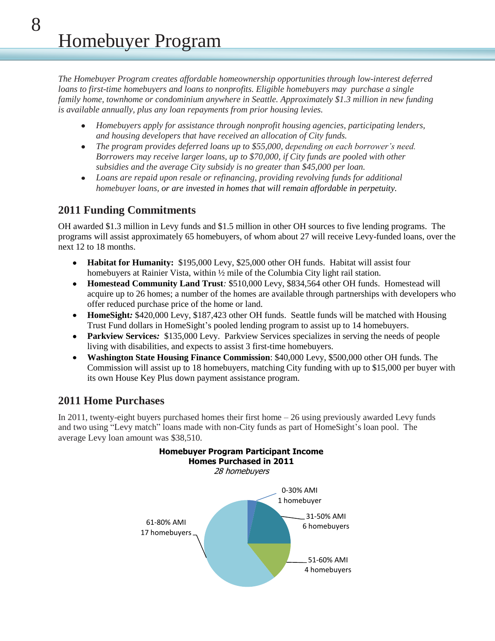*The Homebuyer Program creates affordable homeownership opportunities through low-interest deferred loans to first-time homebuyers and loans to nonprofits. Eligible homebuyers may purchase a single family home, townhome or condominium anywhere in Seattle. Approximately \$1.3 million in new funding is available annually, plus any loan repayments from prior housing levies.* 

- *Homebuyers apply for assistance through nonprofit housing agencies, participating lenders,*   $\bullet$ *and housing developers that have received an allocation of City funds.*
- *The program provides deferred loans up to \$55,000, depending on each borrower's need.*   $\bullet$ *Borrowers may receive larger loans, up to \$70,000, if City funds are pooled with other subsidies and the average City subsidy is no greater than \$45,000 per loan.*
- *Loans are repaid upon resale or refinancing, providing revolving funds for additional*   $\bullet$ *homebuyer loans, or are invested in homes that will remain affordable in perpetuity.*

## **2011 Funding Commitments**

OH awarded \$1.3 million in Levy funds and \$1.5 million in other OH sources to five lending programs. The programs will assist approximately 65 homebuyers, of whom about 27 will receive Levy-funded loans, over the next 12 to 18 months.

- **Habitat for Humanity:** \$195,000 Levy, \$25,000 other OH funds. Habitat will assist four homebuyers at Rainier Vista, within <sup>1</sup>/<sub>2</sub> mile of the Columbia City light rail station.
- **Homestead Community Land Trust***:* \$510,000 Levy, \$834,564 other OH funds. Homestead will acquire up to 26 homes; a number of the homes are available through partnerships with developers who offer reduced purchase price of the home or land.
- **HomeSight***:* \$420,000 Levy, \$187,423 other OH funds. Seattle funds will be matched with Housing  $\bullet$ Trust Fund dollars in HomeSight's pooled lending program to assist up to 14 homebuyers.
- **Parkview Services***:* \$135,000 Levy. Parkview Services specializes in serving the needs of people living with disabilities, and expects to assist 3 first-time homebuyers.
- **Washington State Housing Finance Commission**: \$40,000 Levy, \$500,000 other OH funds*.* The  $\bullet$ Commission will assist up to 18 homebuyers, matching City funding with up to \$15,000 per buyer with its own House Key Plus down payment assistance program.

## **2011 Home Purchases**

In 2011, twenty-eight buyers purchased homes their first home – 26 using previously awarded Levy funds and two using "Levy match" loans made with non-City funds as part of HomeSight's loan pool. The average Levy loan amount was \$38,510.

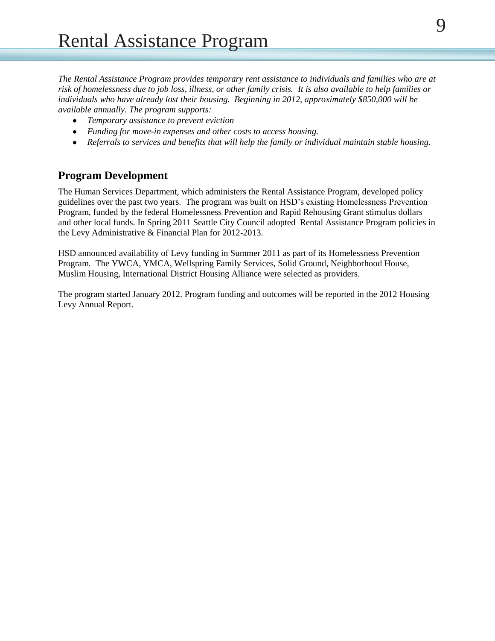*The Rental Assistance Program provides temporary rent assistance to individuals and families who are at risk of homelessness due to job loss, illness, or other family crisis. It is also available to help families or individuals who have already lost their housing. Beginning in 2012, approximately \$850,000 will be available annually. The program supports:*

- $\bullet$ *Temporary assistance to prevent eviction*
- *Funding for move-in expenses and other costs to access housing.*
- *Referrals to services and benefits that will help the family or individual maintain stable housing.*

### **Program Development**

The Human Services Department, which administers the Rental Assistance Program, developed policy guidelines over the past two years. The program was built on HSD's existing Homelessness Prevention Program, funded by the federal Homelessness Prevention and Rapid Rehousing Grant stimulus dollars and other local funds. In Spring 2011 Seattle City Council adopted Rental Assistance Program policies in the Levy Administrative & Financial Plan for 2012-2013.

HSD announced availability of Levy funding in Summer 2011 as part of its Homelessness Prevention Program. The YWCA, YMCA, Wellspring Family Services, Solid Ground, Neighborhood House, Muslim Housing, International District Housing Alliance were selected as providers.

The program started January 2012. Program funding and outcomes will be reported in the 2012 Housing Levy Annual Report.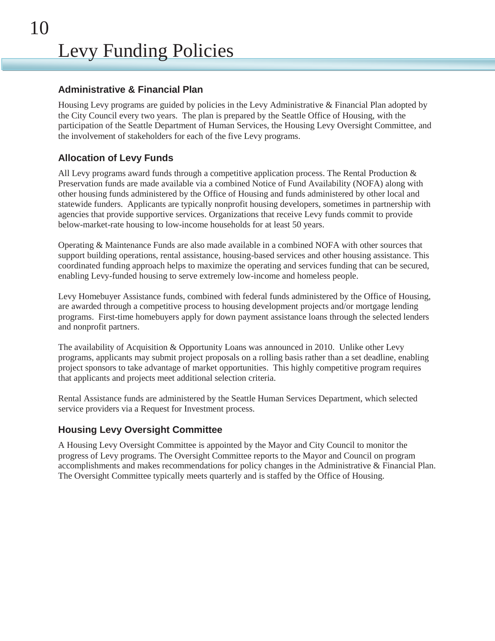#### **Administrative & Financial Plan**

Housing Levy programs are guided by policies in the Levy Administrative & Financial Plan adopted by the City Council every two years. The plan is prepared by the Seattle Office of Housing, with the participation of the Seattle Department of Human Services, the Housing Levy Oversight Committee, and the involvement of stakeholders for each of the five Levy programs.

#### **Allocation of Levy Funds**

All Levy programs award funds through a competitive application process. The Rental Production & Preservation funds are made available via a combined Notice of Fund Availability (NOFA) along with other housing funds administered by the Office of Housing and funds administered by other local and statewide funders. Applicants are typically nonprofit housing developers, sometimes in partnership with agencies that provide supportive services. Organizations that receive Levy funds commit to provide below-market-rate housing to low-income households for at least 50 years.

Operating & Maintenance Funds are also made available in a combined NOFA with other sources that support building operations, rental assistance, housing-based services and other housing assistance. This coordinated funding approach helps to maximize the operating and services funding that can be secured, enabling Levy-funded housing to serve extremely low-income and homeless people.

Levy Homebuyer Assistance funds, combined with federal funds administered by the Office of Housing, are awarded through a competitive process to housing development projects and/or mortgage lending programs. First-time homebuyers apply for down payment assistance loans through the selected lenders and nonprofit partners.

The availability of Acquisition & Opportunity Loans was announced in 2010. Unlike other Levy programs, applicants may submit project proposals on a rolling basis rather than a set deadline, enabling project sponsors to take advantage of market opportunities. This highly competitive program requires that applicants and projects meet additional selection criteria.

Rental Assistance funds are administered by the Seattle Human Services Department, which selected service providers via a Request for Investment process.

#### **Housing Levy Oversight Committee**

A Housing Levy Oversight Committee is appointed by the Mayor and City Council to monitor the progress of Levy programs. The Oversight Committee reports to the Mayor and Council on program accomplishments and makes recommendations for policy changes in the Administrative & Financial Plan. The Oversight Committee typically meets quarterly and is staffed by the Office of Housing.